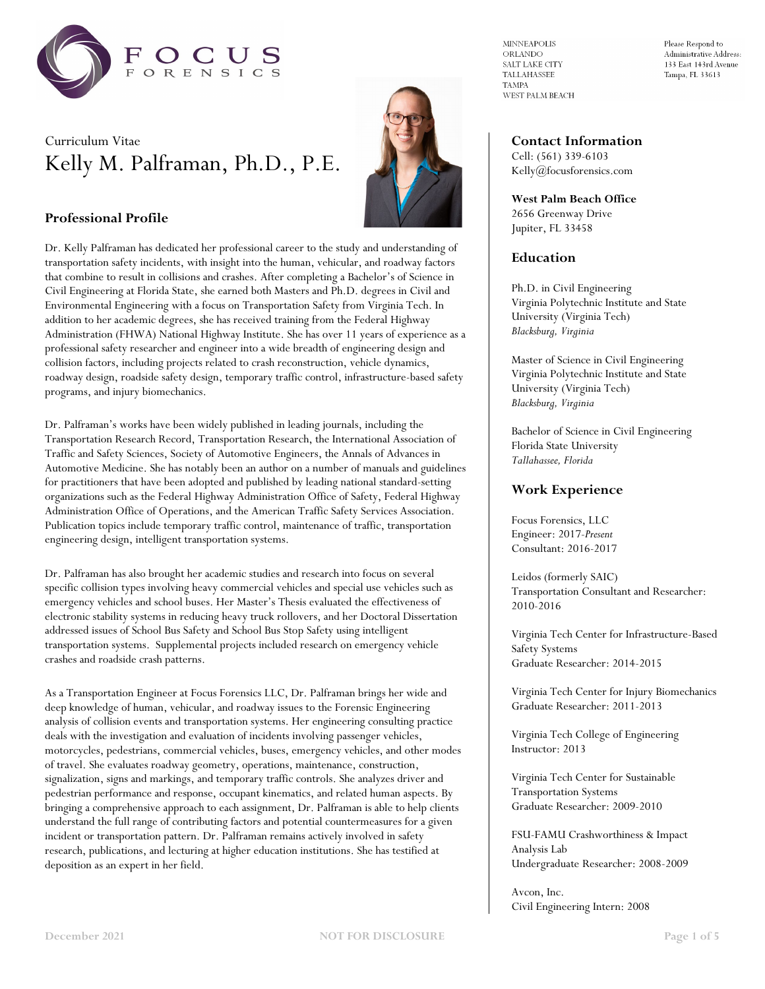

# Curriculum Vitae Kelly M. Palframan, Ph.D., P.E.



# **Professional Profile**

Dr. Kelly Palframan has dedicated her professional career to the study and understanding of transportation safety incidents, with insight into the human, vehicular, and roadway factors that combine to result in collisions and crashes. After completing a Bachelor's of Science in Civil Engineering at Florida State, she earned both Masters and Ph.D. degrees in Civil and Environmental Engineering with a focus on Transportation Safety from Virginia Tech. In addition to her academic degrees, she has received training from the Federal Highway Administration (FHWA) National Highway Institute. She has over 11 years of experience as a professional safety researcher and engineer into a wide breadth of engineering design and collision factors, including projects related to crash reconstruction, vehicle dynamics, roadway design, roadside safety design, temporary traffic control, infrastructure-based safety programs, and injury biomechanics.

Dr. Palframan's works have been widely published in leading journals, including the Transportation Research Record, Transportation Research, the International Association of Traffic and Safety Sciences, Society of Automotive Engineers, the Annals of Advances in Automotive Medicine. She has notably been an author on a number of manuals and guidelines for practitioners that have been adopted and published by leading national standard-setting organizations such as the Federal Highway Administration Office of Safety, Federal Highway Administration Office of Operations, and the American Traffic Safety Services Association. Publication topics include temporary traffic control, maintenance of traffic, transportation engineering design, intelligent transportation systems.

Dr. Palframan has also brought her academic studies and research into focus on several specific collision types involving heavy commercial vehicles and special use vehicles such as emergency vehicles and school buses. Her Master's Thesis evaluated the effectiveness of electronic stability systems in reducing heavy truck rollovers, and her Doctoral Dissertation addressed issues of School Bus Safety and School Bus Stop Safety using intelligent transportation systems. Supplemental projects included research on emergency vehicle crashes and roadside crash patterns.

As a Transportation Engineer at Focus Forensics LLC, Dr. Palframan brings her wide and deep knowledge of human, vehicular, and roadway issues to the Forensic Engineering analysis of collision events and transportation systems. Her engineering consulting practice deals with the investigation and evaluation of incidents involving passenger vehicles, motorcycles, pedestrians, commercial vehicles, buses, emergency vehicles, and other modes of travel. She evaluates roadway geometry, operations, maintenance, construction, signalization, signs and markings, and temporary traffic controls. She analyzes driver and pedestrian performance and response, occupant kinematics, and related human aspects. By bringing a comprehensive approach to each assignment, Dr. Palframan is able to help clients understand the full range of contributing factors and potential countermeasures for a given incident or transportation pattern. Dr. Palframan remains actively involved in safety research, publications, and lecturing at higher education institutions. She has testified at deposition as an expert in her field.

 $\texttt{MINNEAPOLIS}$ ORLANDO SALT LAKE CITY **TALLAHASSEE TAMPA** WEST PALM BEACH Please Respond to Administrative Address: 133 East 143rd Avenue Tampa, FL 33613

# **Contact Information** Cell: (561) 339-6103

Kelly@focusforensics.com

**West Palm Beach Office** 2656 Greenway Drive Jupiter, FL 33458

# **Education**

Ph.D. in Civil Engineering Virginia Polytechnic Institute and State University (Virginia Tech) *Blacksburg, Virginia*

Master of Science in Civil Engineering Virginia Polytechnic Institute and State University (Virginia Tech) *Blacksburg, Virginia*

Bachelor of Science in Civil Engineering Florida State University *Tallahassee, Florida*

## **Work Experience**

Focus Forensics, LLC Engineer: 2017*-Present* Consultant: 2016-2017

Leidos (formerly SAIC) Transportation Consultant and Researcher: 2010-2016

Virginia Tech Center for Infrastructure-Based Safety Systems Graduate Researcher: 2014-2015

Virginia Tech Center for Injury Biomechanics Graduate Researcher: 2011-2013

Virginia Tech College of Engineering Instructor: 2013

Virginia Tech Center for Sustainable Transportation Systems Graduate Researcher: 2009-2010

FSU-FAMU Crashworthiness & Impact Analysis Lab Undergraduate Researcher: 2008-2009

Avcon, Inc. Civil Engineering Intern: 2008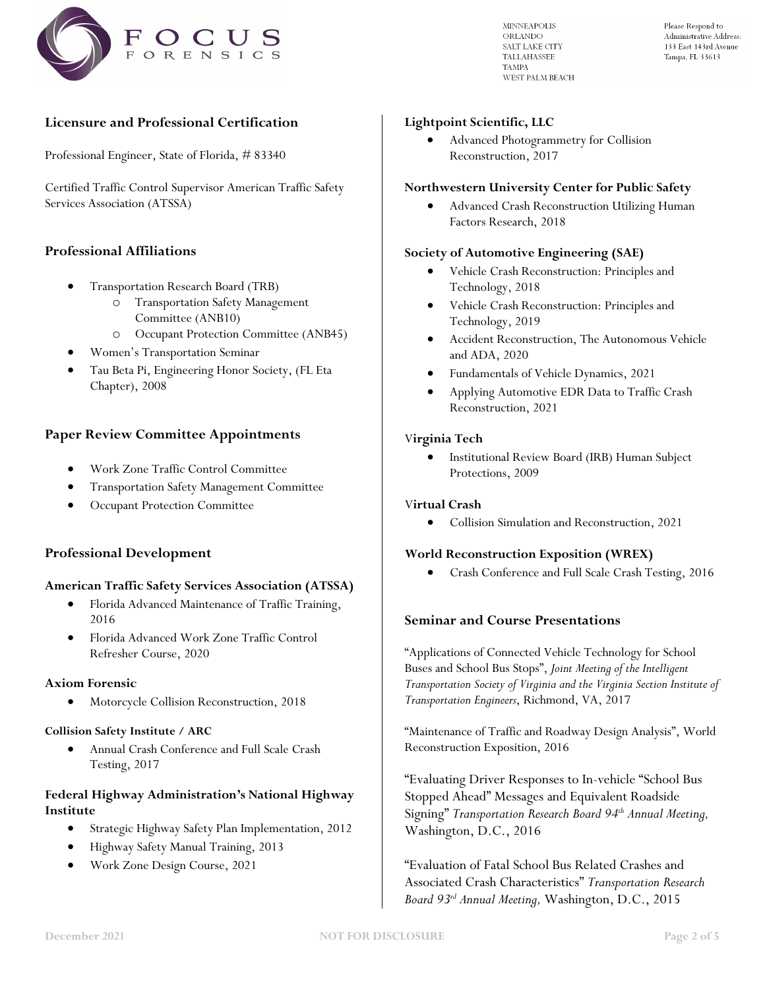

**MINNEAPOLIS** ORLANDO SALT LAKE CITY TALLAHASSEE **TAMPA** WEST PALM BEACH Please Respond to Administrative Address: 133 East 143rd Avenue Tampa, FL 33613

# **Licensure and Professional Certification**

Professional Engineer, State of Florida, # 83340

Certified Traffic Control Supervisor American Traffic Safety Services Association (ATSSA)

# **Professional Affiliations**

- Transportation Research Board (TRB)
	- o Transportation Safety Management Committee (ANB10)
	- o Occupant Protection Committee (ANB45)
- Women's Transportation Seminar
- Tau Beta Pi, Engineering Honor Society, (FL Eta Chapter), 2008

# **Paper Review Committee Appointments**

- Work Zone Traffic Control Committee
- Transportation Safety Management Committee
- Occupant Protection Committee

#### **Professional Development**

#### **American Traffic Safety Services Association (ATSSA)**

- Florida Advanced Maintenance of Traffic Training, 2016
- Florida Advanced Work Zone Traffic Control Refresher Course, 2020

#### **Axiom Forensic**

• Motorcycle Collision Reconstruction, 2018

#### **Collision Safety Institute / ARC**

• Annual Crash Conference and Full Scale Crash Testing, 2017

# **Federal Highway Administration's National Highway Institute**

- Strategic Highway Safety Plan Implementation, 2012
- Highway Safety Manual Training, 2013
- Work Zone Design Course, 2021

#### **Lightpoint Scientific, LLC**

• Advanced Photogrammetry for Collision Reconstruction, 2017

#### **Northwestern University Center for Public Safety**

• Advanced Crash Reconstruction Utilizing Human Factors Research, 2018

#### **Society of Automotive Engineering (SAE)**

- Vehicle Crash Reconstruction: Principles and Technology, 2018
- Vehicle Crash Reconstruction: Principles and Technology, 2019
- Accident Reconstruction, The Autonomous Vehicle and ADA, 2020
- Fundamentals of Vehicle Dynamics, 2021
- Applying Automotive EDR Data to Traffic Crash Reconstruction, 2021

#### V**irginia Tech**

• Institutional Review Board (IRB) Human Subject Protections, 2009

#### V**irtual Crash**

• Collision Simulation and Reconstruction, 2021

#### **World Reconstruction Exposition (WREX)**

• Crash Conference and Full Scale Crash Testing, 2016

# **Seminar and Course Presentations**

"Applications of Connected Vehicle Technology for School Buses and School Bus Stops", *Joint Meeting of the Intelligent Transportation Society of Virginia and the Virginia Section Institute of Transportation Engineers*, Richmond, VA, 2017

"Maintenance of Traffic and Roadway Design Analysis", World Reconstruction Exposition, 2016

"Evaluating Driver Responses to In-vehicle "School Bus Stopped Ahead" Messages and Equivalent Roadside Signing" *Transportation Research Board 94th Annual Meeting,*  Washington, D.C., 2016

"Evaluation of Fatal School Bus Related Crashes and Associated Crash Characteristics" *Transportation Research Board 93rd Annual Meeting,* Washington, D.C., 2015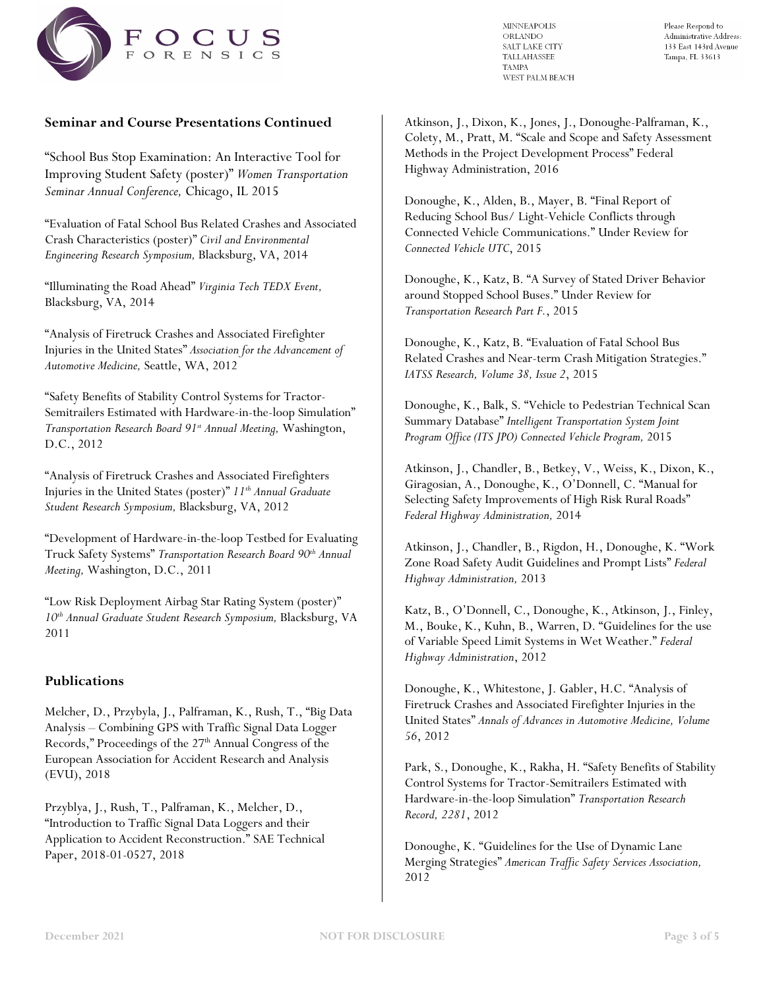

**MINNEAPOLIS** ORLANDO SALT LAKE CITY TALLAHASSEE **TAMPA** WEST PALM BEACH Please Respond to Administrative Address: 133 East 143rd Avenue Tampa, FL 33613

# **Seminar and Course Presentations Continued**

"School Bus Stop Examination: An Interactive Tool for Improving Student Safety (poster)" *Women Transportation Seminar Annual Conference,* Chicago, IL 2015

"Evaluation of Fatal School Bus Related Crashes and Associated Crash Characteristics (poster)" *Civil and Environmental Engineering Research Symposium,* Blacksburg, VA, 2014

"Illuminating the Road Ahead" *Virginia Tech TEDX Event,*  Blacksburg, VA, 2014

"Analysis of Firetruck Crashes and Associated Firefighter Injuries in the United States" *Association for the Advancement of Automotive Medicine,* Seattle, WA, 2012

"Safety Benefits of Stability Control Systems for Tractor-Semitrailers Estimated with Hardware-in-the-loop Simulation" *Transportation Research Board 91st Annual Meeting,* Washington, D.C., 2012

"Analysis of Firetruck Crashes and Associated Firefighters Injuries in the United States (poster)" *11th Annual Graduate Student Research Symposium,* Blacksburg, VA, 2012

"Development of Hardware-in-the-loop Testbed for Evaluating Truck Safety Systems" *Transportation Research Board 90th Annual Meeting,* Washington, D.C., 2011

"Low Risk Deployment Airbag Star Rating System (poster)" *10th Annual Graduate Student Research Symposium,* Blacksburg, VA 2011

# **Publications**

Melcher, D., Przybyla, J., Palframan, K., Rush, T., "Big Data Analysis – Combining GPS with Traffic Signal Data Logger Records," Proceedings of the 27<sup>th</sup> Annual Congress of the European Association for Accident Research and Analysis (EVU), 2018

Przyblya, J., Rush, T., Palframan, K., Melcher, D., "Introduction to Traffic Signal Data Loggers and their Application to Accident Reconstruction." SAE Technical Paper, 2018-01-0527, 2018

Atkinson, J., Dixon, K., Jones, J., Donoughe-Palframan, K., Colety, M., Pratt, M. "Scale and Scope and Safety Assessment Methods in the Project Development Process" Federal Highway Administration, 2016

Donoughe, K., Alden, B., Mayer, B. "Final Report of Reducing School Bus/ Light-Vehicle Conflicts through Connected Vehicle Communications." Under Review for *Connected Vehicle UTC*, 2015

Donoughe, K., Katz, B. "A Survey of Stated Driver Behavior around Stopped School Buses." Under Review for *Transportation Research Part F.*, 2015

Donoughe, K., Katz, B. "Evaluation of Fatal School Bus Related Crashes and Near-term Crash Mitigation Strategies." *IATSS Research, Volume 38, Issue 2*, 2015

Donoughe, K., Balk, S. "Vehicle to Pedestrian Technical Scan Summary Database" *Intelligent Transportation System Joint Program Office (ITS JPO) Connected Vehicle Program,* 2015

Atkinson, J., Chandler, B., Betkey, V., Weiss, K., Dixon, K., Giragosian, A., Donoughe, K., O'Donnell, C. "Manual for Selecting Safety Improvements of High Risk Rural Roads" *Federal Highway Administration,* 2014

Atkinson, J., Chandler, B., Rigdon, H., Donoughe, K. "Work Zone Road Safety Audit Guidelines and Prompt Lists" *Federal Highway Administration,* 2013

Katz, B., O'Donnell, C., Donoughe, K., Atkinson, J., Finley, M., Bouke, K., Kuhn, B., Warren, D. "Guidelines for the use of Variable Speed Limit Systems in Wet Weather." *Federal Highway Administration*, 2012

Donoughe, K., Whitestone, J. Gabler, H.C. "Analysis of Firetruck Crashes and Associated Firefighter Injuries in the United States" *Annals of Advances in Automotive Medicine, Volume 56*, 2012

Park, S., Donoughe, K., Rakha, H. "Safety Benefits of Stability Control Systems for Tractor-Semitrailers Estimated with Hardware-in-the-loop Simulation" *Transportation Research Record, 2281*, 2012

Donoughe, K. "Guidelines for the Use of Dynamic Lane Merging Strategies" *American Traffic Safety Services Association,*  2012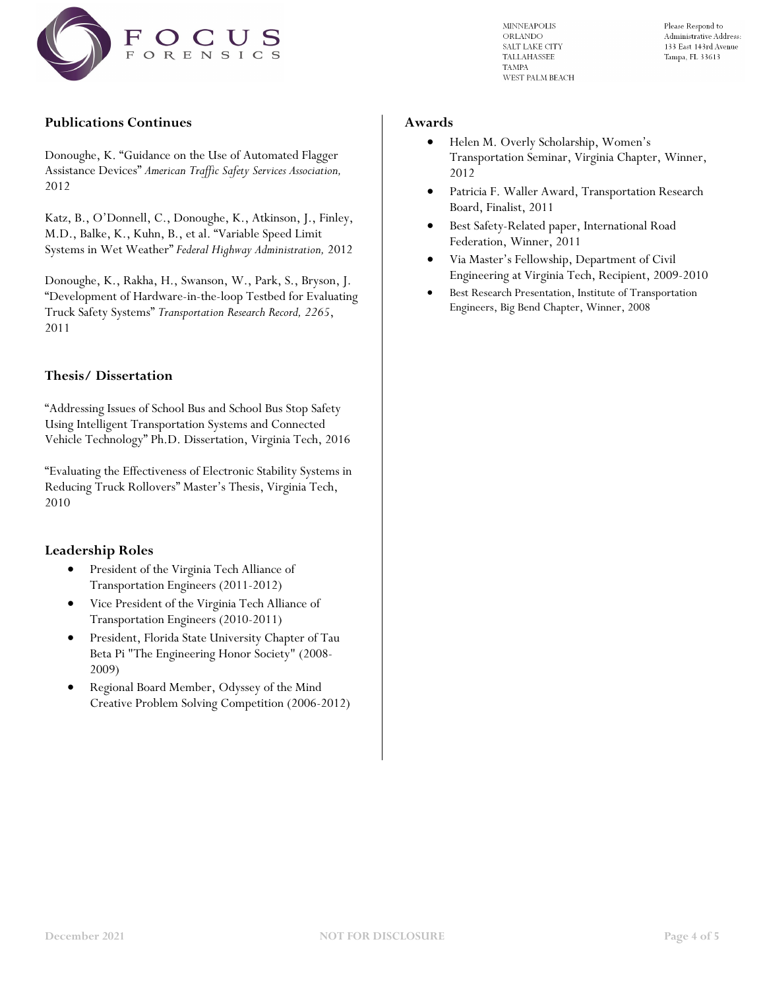

**MINNEAPOLIS** ORLANDO SALT LAKE CITY TALLAHASSEE **TAMPA** WEST PALM BEACH Please Respond to Administrative Address: 133 East 143rd Avenue Tampa, FL 33613

# **Publications Continues**

Donoughe, K. "Guidance on the Use of Automated Flagger Assistance Devices" *American Traffic Safety Services Association,*  2012

Katz, B., O'Donnell, C., Donoughe, K., Atkinson, J., Finley, M.D., Balke, K., Kuhn, B., et al. "Variable Speed Limit Systems in Wet Weather" *Federal Highway Administration,* 2012

Donoughe, K., Rakha, H., Swanson, W., Park, S., Bryson, J. "Development of Hardware-in-the-loop Testbed for Evaluating Truck Safety Systems" *Transportation Research Record, 2265*, 2011

# **Thesis/ Dissertation**

"Addressing Issues of School Bus and School Bus Stop Safety Using Intelligent Transportation Systems and Connected Vehicle Technology" Ph.D. Dissertation, Virginia Tech, 2016

"Evaluating the Effectiveness of Electronic Stability Systems in Reducing Truck Rollovers" Master's Thesis, Virginia Tech, 2010

# **Leadership Roles**

- President of the Virginia Tech Alliance of Transportation Engineers (2011-2012)
- Vice President of the Virginia Tech Alliance of Transportation Engineers (2010-2011)
- President, Florida State University Chapter of Tau Beta Pi "The Engineering Honor Society" (2008- 2009)
- Regional Board Member, Odyssey of the Mind Creative Problem Solving Competition (2006-2012)

#### **Awards**

- Helen M. Overly Scholarship, Women's Transportation Seminar, Virginia Chapter, Winner, 2012
- Patricia F. Waller Award, Transportation Research Board, Finalist, 2011
- Best Safety-Related paper, International Road Federation, Winner, 2011
- Via Master's Fellowship, Department of Civil Engineering at Virginia Tech, Recipient, 2009-2010
- Best Research Presentation, Institute of Transportation Engineers, Big Bend Chapter, Winner, 2008